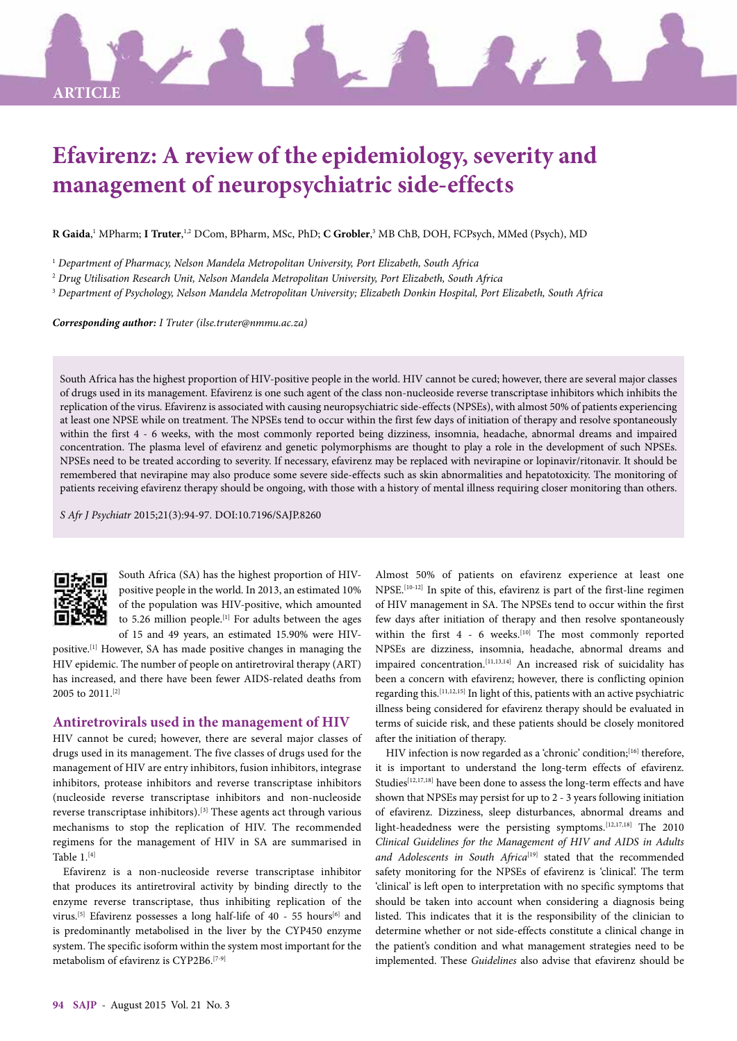# **Efavirenz: A review of the epidemiology, severity and management of neuropsychiatric side-effects**

**R Gaida**, 1 MPharm; **I Truter**, 1,2 DCom, BPharm, MSc, PhD; **C Grobler**, 3 MB ChB, DOH, FCPsych, MMed (Psych), MD

1  *Department of Pharmacy, Nelson Mandela Metropolitan University, Port Elizabeth, South Africa*

2  *Drug Utilisation Research Unit, Nelson Mandela Metropolitan University, Port Elizabeth, South Africa*

3  *Department of Psychology, Nelson Mandela Metropolitan University; Elizabeth Donkin Hospital, Port Elizabeth, South Africa*

*Corresponding author: I Truter (ilse.truter@nmmu.ac.za)*

South Africa has the highest proportion of HIV-positive people in the world. HIV cannot be cured; however, there are several major classes of drugs used in its management. Efavirenz is one such agent of the class non-nucleoside reverse transcriptase inhibitors which inhibits the replication of the virus. Efavirenz is associated with causing neuropsychiatric side-effects (NPSEs), with almost 50% of patients experiencing at least one NPSE while on treatment. The NPSEs tend to occur within the first few days of initiation of therapy and resolve spontaneously within the first 4 - 6 weeks, with the most commonly reported being dizziness, insomnia, headache, abnormal dreams and impaired concentration. The plasma level of efavirenz and genetic polymorphisms are thought to play a role in the development of such NPSEs. NPSEs need to be treated according to severity. If necessary, efavirenz may be replaced with nevirapine or lopinavir/ritonavir. It should be remembered that nevirapine may also produce some severe side-effects such as skin abnormalities and hepatotoxicity. The monitoring of patients receiving efavirenz therapy should be ongoing, with those with a history of mental illness requiring closer monitoring than others.

*S Afr J Psychiatr* 2015;21(3):94-97. DOI:10.7196/SAJP.8260



**ARTICLE**

South Africa (SA) has the highest proportion of HIVpositive people in the world. In 2013, an estimated 10% of the population was HIV-positive, which amounted to 5.26 million people.<sup>[1]</sup> For adults between the ages of 15 and 49 years, an estimated 15.90% were HIV-

positive.[1] However, SA has made positive changes in managing the HIV epidemic. The number of people on antiretroviral therapy (ART) has increased, and there have been fewer AIDS-related deaths from 2005 to 2011.[2]

## **Antiretrovirals used in the management of HIV**

HIV cannot be cured; however, there are several major classes of drugs used in its management. The five classes of drugs used for the management of HIV are entry inhibitors, fusion inhibitors, integrase inhibitors, protease inhibitors and reverse transcriptase inhibitors (nucleoside reverse transcriptase inhibitors and non-nucleoside reverse transcriptase inhibitors).[3] These agents act through various mechanisms to stop the replication of HIV. The recommended regimens for the management of HIV in SA are summarised in Table  $1.^{[4]}$ 

Efavirenz is a non-nucleoside reverse transcriptase inhibitor that produces its antiretroviral activity by binding directly to the enzyme reverse transcriptase, thus inhibiting replication of the virus.<sup>[5]</sup> Efavirenz possesses a long half-life of 40 - 55 hours<sup>[6]</sup> and is predominantly metabolised in the liver by the CYP450 enzyme system. The specific isoform within the system most important for the metabolism of efavirenz is CYP2B6.[7-9]

Almost 50% of patients on efavirenz experience at least one NPSE.[10-12] In spite of this, efavirenz is part of the first-line regimen of HIV management in SA. The NPSEs tend to occur within the first few days after initiation of therapy and then resolve spontaneously within the first  $4 - 6$  weeks.<sup>[10]</sup> The most commonly reported NPSEs are dizziness, insomnia, headache, abnormal dreams and impaired concentration.[11,13,14] An increased risk of suicidality has been a concern with efavirenz; however, there is conflicting opinion regarding this.[11,12,15] In light of this, patients with an active psychiatric illness being considered for efavirenz therapy should be evaluated in terms of suicide risk, and these patients should be closely monitored after the initiation of therapy.

HIV infection is now regarded as a 'chronic' condition;<sup>[16]</sup> therefore, it is important to understand the long-term effects of efavirenz. Studies<sup>[12,17,18]</sup> have been done to assess the long-term effects and have shown that NPSEs may persist for up to 2 - 3 years following initiation of efavirenz. Dizziness, sleep disturbances, abnormal dreams and light-headedness were the persisting symptoms.<sup>[12,17,18]</sup> The 2010 *Clinical Guidelines for the Management of HIV and AIDS in Adults*  and Adolescents in South Africa<sup>[19]</sup> stated that the recommended safety monitoring for the NPSEs of efavirenz is 'clinical'. The term 'clinical' is left open to interpretation with no specific symptoms that should be taken into account when considering a diagnosis being listed. This indicates that it is the responsibility of the clinician to determine whether or not side-effects constitute a clinical change in the patient's condition and what management strategies need to be implemented. These *Guidelines* also advise that efavirenz should be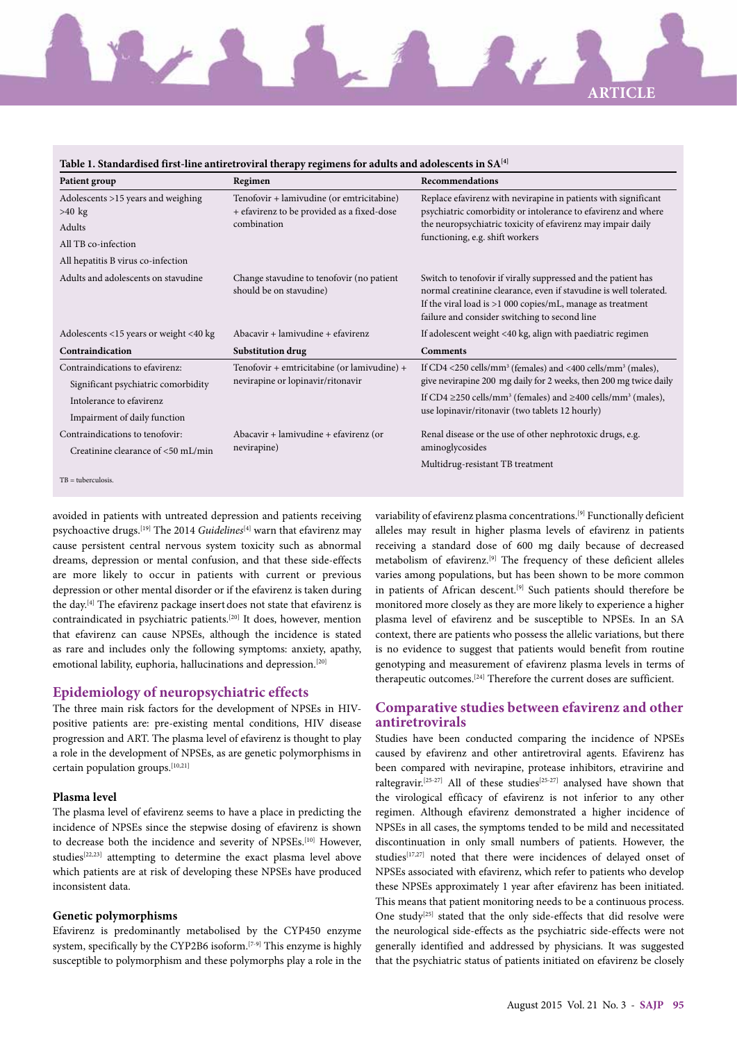# **ARTICLE**

| Table 1. Standardised first-line antiretroviral therapy regimens for adults and adolescents in SA[4] |                                                                                                        |                                                                                                                                                                                                                                                    |
|------------------------------------------------------------------------------------------------------|--------------------------------------------------------------------------------------------------------|----------------------------------------------------------------------------------------------------------------------------------------------------------------------------------------------------------------------------------------------------|
| Patient group                                                                                        | Regimen                                                                                                | Recommendations                                                                                                                                                                                                                                    |
| Adolescents >15 years and weighing<br>$>40$ kg                                                       | Tenofovir + lamivudine (or emtricitabine)<br>+ efavirenz to be provided as a fixed-dose<br>combination | Replace efavirenz with nevirapine in patients with significant<br>psychiatric comorbidity or intolerance to efavirenz and where<br>the neuropsychiatric toxicity of efavirenz may impair daily<br>functioning, e.g. shift workers                  |
| Adults                                                                                               |                                                                                                        |                                                                                                                                                                                                                                                    |
| All TB co-infection                                                                                  |                                                                                                        |                                                                                                                                                                                                                                                    |
| All hepatitis B virus co-infection                                                                   |                                                                                                        |                                                                                                                                                                                                                                                    |
| Adults and adolescents on stavudine                                                                  | Change stavudine to tenofovir (no patient<br>should be on stavudine)                                   | Switch to tenofovir if virally suppressed and the patient has<br>normal creatinine clearance, even if stavudine is well tolerated.<br>If the viral load is $>1000$ copies/mL, manage as treatment<br>failure and consider switching to second line |
| Adolescents <15 years or weight <40 kg                                                               | Abacavir + lamivudine + efavirenz                                                                      | If adolescent weight <40 kg, align with paediatric regimen                                                                                                                                                                                         |
| Contraindication                                                                                     | Substitution drug                                                                                      | <b>Comments</b>                                                                                                                                                                                                                                    |
| Contraindications to efavirenz:                                                                      | Tenofovir + emtricitabine (or lamivudine) +<br>nevirapine or lopinavir/ritonavir                       | If CD4 <250 cells/mm <sup>3</sup> (females) and <400 cells/mm <sup>3</sup> (males),                                                                                                                                                                |
| Significant psychiatric comorbidity                                                                  |                                                                                                        | give nevirapine 200 mg daily for 2 weeks, then 200 mg twice daily                                                                                                                                                                                  |
| Intolerance to efavirenz                                                                             |                                                                                                        | If CD4 $\geq$ 250 cells/mm <sup>3</sup> (females) and $\geq$ 400 cells/mm <sup>3</sup> (males),<br>use lopinavir/ritonavir (two tablets 12 hourly)                                                                                                 |
| Impairment of daily function                                                                         |                                                                                                        |                                                                                                                                                                                                                                                    |
| Contraindications to tenofovir:                                                                      | Abacavir + lamivudine + efavirenz (or<br>nevirapine)                                                   | Renal disease or the use of other nephrotoxic drugs, e.g.<br>aminoglycosides                                                                                                                                                                       |
| Creatinine clearance of <50 mL/min                                                                   |                                                                                                        |                                                                                                                                                                                                                                                    |
|                                                                                                      |                                                                                                        | Multidrug-resistant TB treatment                                                                                                                                                                                                                   |
| $TB = tuberculosis.$                                                                                 |                                                                                                        |                                                                                                                                                                                                                                                    |

avoided in patients with untreated depression and patients receiving psychoactive drugs.[19] The 2014 *Guidelines*[4] warn that efavirenz may cause persistent central nervous system toxicity such as abnormal dreams, depression or mental confusion, and that these side-effects are more likely to occur in patients with current or previous depression or other mental disorder or if the efavirenz is taken during the day.[4] The efavirenz package insert does not state that efavirenz is contraindicated in psychiatric patients.[20] It does, however, mention that efavirenz can cause NPSEs, although the incidence is stated as rare and includes only the following symptoms: anxiety, apathy, emotional lability, euphoria, hallucinations and depression.<sup>[20]</sup>

### **Epidemiology of neuropsychiatric effects**

The three main risk factors for the development of NPSEs in HIVpositive patients are: pre-existing mental conditions, HIV disease progression and ART. The plasma level of efavirenz is thought to play a role in the development of NPSEs, as are genetic polymorphisms in certain population groups.[10,21]

#### **Plasma level**

The plasma level of efavirenz seems to have a place in predicting the incidence of NPSEs since the stepwise dosing of efavirenz is shown to decrease both the incidence and severity of NPSEs.[10] However, studies[22,23] attempting to determine the exact plasma level above which patients are at risk of developing these NPSEs have produced inconsistent data.

#### **Genetic polymorphisms**

Efavirenz is predominantly metabolised by the CYP450 enzyme system, specifically by the CYP2B6 isoform.<sup>[7-9]</sup> This enzyme is highly susceptible to polymorphism and these polymorphs play a role in the variability of efavirenz plasma concentrations.[9] Functionally deficient alleles may result in higher plasma levels of efavirenz in patients receiving a standard dose of 600 mg daily because of decreased metabolism of efavirenz.[9] The frequency of these deficient alleles varies among populations, but has been shown to be more common in patients of African descent.<sup>[9]</sup> Such patients should therefore be monitored more closely as they are more likely to experience a higher plasma level of efavirenz and be susceptible to NPSEs. In an SA context, there are patients who possess the allelic variations, but there is no evidence to suggest that patients would benefit from routine genotyping and measurement of efavirenz plasma levels in terms of therapeutic outcomes.[24] Therefore the current doses are sufficient.

# **Comparative studies between efavirenz and other antiretrovirals**

Studies have been conducted comparing the incidence of NPSEs caused by efavirenz and other antiretroviral agents. Efavirenz has been compared with nevirapine, protease inhibitors, etravirine and raltegravir.<sup>[25-27]</sup> All of these studies<sup>[25-27]</sup> analysed have shown that the virological efficacy of efavirenz is not inferior to any other regimen. Although efavirenz demonstrated a higher incidence of NPSEs in all cases, the symptoms tended to be mild and necessitated discontinuation in only small numbers of patients. However, the studies<sup>[17,27]</sup> noted that there were incidences of delayed onset of NPSEs associated with efavirenz, which refer to patients who develop these NPSEs approximately 1 year after efavirenz has been initiated. This means that patient monitoring needs to be a continuous process. One study<sup>[25]</sup> stated that the only side-effects that did resolve were the neurological side-effects as the psychiatric side-effects were not generally identified and addressed by physicians. It was suggested that the psychiatric status of patients initiated on efavirenz be closely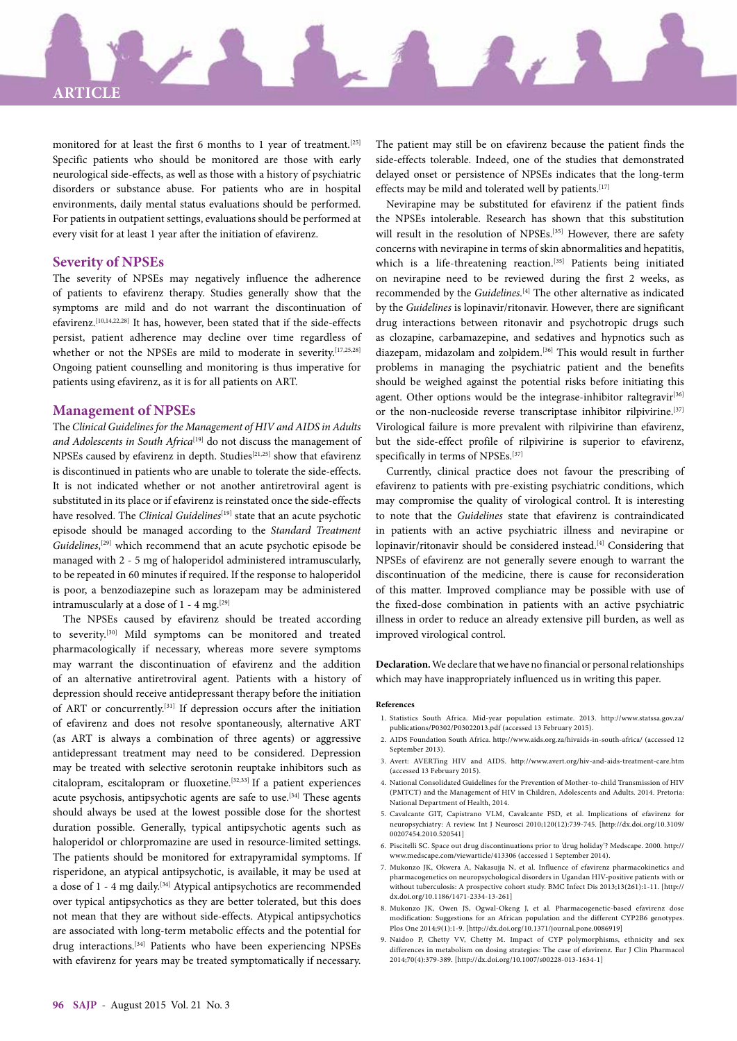

monitored for at least the first 6 months to 1 year of treatment.<sup>[25]</sup> Specific patients who should be monitored are those with early neurological side-effects, as well as those with a history of psychiatric disorders or substance abuse. For patients who are in hospital environments, daily mental status evaluations should be performed. For patients in outpatient settings, evaluations should be performed at every visit for at least 1 year after the initiation of efavirenz.

#### **Severity of NPSEs**

The severity of NPSEs may negatively influence the adherence of patients to efavirenz therapy. Studies generally show that the symptoms are mild and do not warrant the discontinuation of efavirenz.[10,14,22,28] It has, however, been stated that if the side-effects persist, patient adherence may decline over time regardless of whether or not the NPSEs are mild to moderate in severity.[17,25,28] Ongoing patient counselling and monitoring is thus imperative for patients using efavirenz, as it is for all patients on ART.

#### **Management of NPSEs**

The *Clinical Guidelines for the Management of HIV and AIDS in Adults*  and Adolescents in South Africa<sup>[19]</sup> do not discuss the management of NPSEs caused by efavirenz in depth. Studies<sup>[21,25]</sup> show that efavirenz is discontinued in patients who are unable to tolerate the side-effects. It is not indicated whether or not another antiretroviral agent is substituted in its place or if efavirenz is reinstated once the side-effects have resolved. The *Clinical Guidelines*<sup>[19]</sup> state that an acute psychotic episode should be managed according to the *Standard Treatment Guidelines*, [29] which recommend that an acute psychotic episode be managed with 2 - 5 mg of haloperidol administered intramuscularly, to be repeated in 60 minutes if required. If the response to haloperidol is poor, a benzodiazepine such as lorazepam may be administered intramuscularly at a dose of  $1 - 4$  mg.<sup>[29]</sup>

The NPSEs caused by efavirenz should be treated according to severity.[30] Mild symptoms can be monitored and treated pharmacologically if necessary, whereas more severe symptoms may warrant the discontinuation of efavirenz and the addition of an alternative antiretroviral agent. Patients with a history of depression should receive antidepressant therapy before the initiation of ART or concurrently.[31] If depression occurs after the initiation of efavirenz and does not resolve spontaneously, alternative ART (as ART is always a combination of three agents) or aggressive antidepressant treatment may need to be considered. Depression may be treated with selective serotonin reuptake inhibitors such as citalopram, escitalopram or fluoxetine.[32,33] If a patient experiences acute psychosis, antipsychotic agents are safe to use.[34] These agents should always be used at the lowest possible dose for the shortest duration possible. Generally, typical antipsychotic agents such as haloperidol or chlorpromazine are used in resource-limited settings. The patients should be monitored for extrapyramidal symptoms. If risperidone, an atypical antipsychotic, is available, it may be used at a dose of 1 - 4 mg daily.[34] Atypical antipsychotics are recommended over typical antipsychotics as they are better tolerated, but this does not mean that they are without side-effects. Atypical antipsychotics are associated with long-term metabolic effects and the potential for drug interactions.[34] Patients who have been experiencing NPSEs with efavirenz for years may be treated symptomatically if necessary.

The patient may still be on efavirenz because the patient finds the side-effects tolerable. Indeed, one of the studies that demonstrated delayed onset or persistence of NPSEs indicates that the long-term effects may be mild and tolerated well by patients.<sup>[17]</sup>

Nevirapine may be substituted for efavirenz if the patient finds the NPSEs intolerable. Research has shown that this substitution will result in the resolution of NPSEs.<sup>[35]</sup> However, there are safety concerns with nevirapine in terms of skin abnormalities and hepatitis, which is a life-threatening reaction.<sup>[35]</sup> Patients being initiated on nevirapine need to be reviewed during the first 2 weeks, as recommended by the *Guidelines.*[4] The other alternative as indicated by the *Guidelines* is lopinavir/ritonavir. However, there are significant drug interactions between ritonavir and psychotropic drugs such as clozapine, carbamazepine, and sedatives and hypnotics such as diazepam, midazolam and zolpidem.[36] This would result in further problems in managing the psychiatric patient and the benefits should be weighed against the potential risks before initiating this agent. Other options would be the integrase-inhibitor raltegravir<sup>[36]</sup> or the non-nucleoside reverse transcriptase inhibitor rilpivirine.<sup>[37]</sup> Virological failure is more prevalent with rilpivirine than efavirenz, but the side-effect profile of rilpivirine is superior to efavirenz, specifically in terms of NPSEs.[37]

Currently, clinical practice does not favour the prescribing of efavirenz to patients with pre-existing psychiatric conditions, which may compromise the quality of virological control. It is interesting to note that the *Guidelines* state that efavirenz is contraindicated in patients with an active psychiatric illness and nevirapine or lopinavir/ritonavir should be considered instead.<sup>[4]</sup> Considering that NPSEs of efavirenz are not generally severe enough to warrant the discontinuation of the medicine, there is cause for reconsideration of this matter. Improved compliance may be possible with use of the fixed-dose combination in patients with an active psychiatric illness in order to reduce an already extensive pill burden, as well as improved virological control.

**Declaration.** We declare that we have no financial or personal relationships which may have inappropriately influenced us in writing this paper.

#### **References**

- 1. Statistics South Africa. Mid-year population estimate. 2013. http://www.statssa.gov.za/ publications/P0302/P03022013.pdf (accessed 13 February 2015).
- 2. AIDS Foundation South Africa. http://www.aids.org.za/hivaids-in-south-africa/ (accessed 12 September 2013).
- 3. Avert: AVERTing HIV and AIDS. http://www.avert.org/hiv-and-aids-treatment-care.htm (accessed 13 February 2015).
- 4. National Consolidated Guidelines for the Prevention of Mother-to-child Transmission of HIV (PMTCT) and the Management of HIV in Children, Adolescents and Adults. 2014. Pretoria: National Department of Health, 2014.
- 5. Cavalcante GIT, Capistrano VLM, Cavalcante FSD, et al. Implications of efavirenz for neuropsychiatry: A review. Int J Neurosci 2010;120(12):739-745. [http://dx.doi.org/10.3109/ 00207454.2010.520541]
- 6. Piscitelli SC. Space out drug discontinuations prior to 'drug holiday'? Medscape. 2000. http:// www.medscape.com/viewarticle/413306 (accessed 1 September 2014).
- 7. Mukonzo JK, Okwera A, Nakasujja N, et al. Influence of efavirenz pharmacokinetics and pharmacogenetics on neuropsychological disorders in Ugandan HIV-positive patients with or without tuberculosis: A prospective cohort study. BMC Infect Dis 2013;13(261):1-11. [http:// dx.doi.org/10.1186/1471-2334-13-261]
- 8. Mukonzo JK, Owen JS, Ogwal-Okeng J, et al. Pharmacogenetic-based efavirenz dose modification: Suggestions for an African population and the different CYP2B6 genotypes. Plos One 2014;9(1):1-9. [http://dx.doi.org/10.1371/journal.pone.0086919]
- 9. Naidoo P, Chetty VV, Chetty M. Impact of CYP polymorphisms, ethnicity and sex differences in metabolism on dosing strategies: The case of efavirenz. Eur J Clin Pharmacol 2014;70(4):379-389. [http://dx.doi.org/10.1007/s00228-013-1634-1]